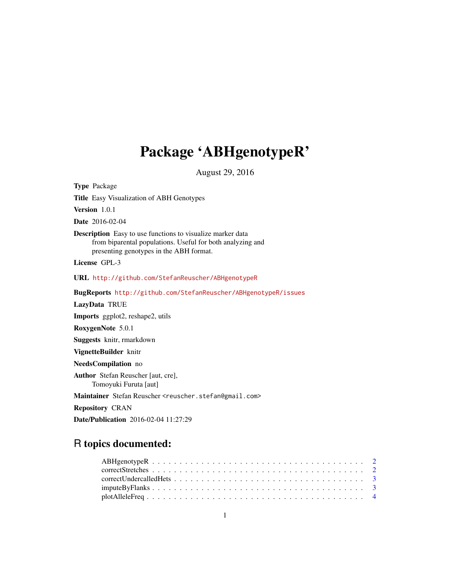# Package 'ABHgenotypeR'

August 29, 2016

Title Easy Visualization of ABH Genotypes Version 1.0.1 Date 2016-02-04 Description Easy to use functions to visualize marker data from biparental populations. Useful for both analyzing and presenting genotypes in the ABH format. License GPL-3 URL <http://github.com/StefanReuscher/ABHgenotypeR> BugReports <http://github.com/StefanReuscher/ABHgenotypeR/issues> LazyData TRUE Imports ggplot2, reshape2, utils RoxygenNote 5.0.1 Suggests knitr, rmarkdown VignetteBuilder knitr NeedsCompilation no Author Stefan Reuscher [aut, cre], Tomoyuki Furuta [aut] Maintainer Stefan Reuscher <reuscher.stefan@gmail.com> Repository CRAN Date/Publication 2016-02-04 11:27:29

# R topics documented:

Type Package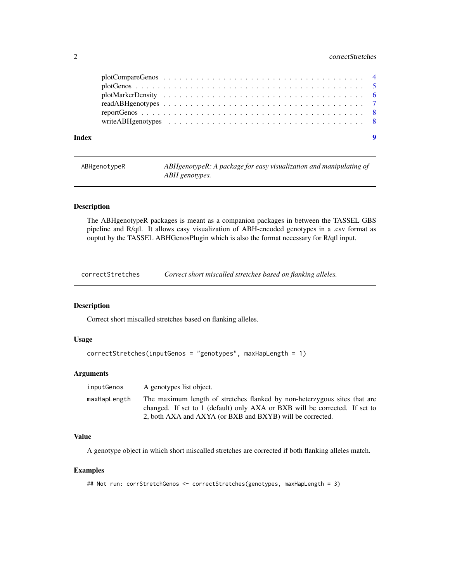# <span id="page-1-0"></span>2 correctStretches

| Index |  |  | $\overline{\mathbf{9}}$ |
|-------|--|--|-------------------------|

ABHgenotypeR *ABHgenotypeR: A package for easy visualization and manipulating of ABH genotypes.*

# Description

The ABHgenotypeR packages is meant as a companion packages in between the TASSEL GBS pipeline and R/qtl. It allows easy visualization of ABH-encoded genotypes in a .csv format as ouptut by the TASSEL ABHGenosPlugin which is also the format necessary for R/qtl input.

correctStretches *Correct short miscalled stretches based on flanking alleles.*

#### Description

Correct short miscalled stretches based on flanking alleles.

# Usage

```
correctStretches(inputGenos = "genotypes", maxHapLength = 1)
```
#### Arguments

| inputGenos   | A genotypes list object.                                                                                                                                 |
|--------------|----------------------------------------------------------------------------------------------------------------------------------------------------------|
| maxHapLength | The maximum length of stretches flanked by non-heterzygous sites that are<br>changed. If set to 1 (default) only AXA or BXB will be corrected. If set to |
|              | 2, both AXA and AXYA (or BXB and BXYB) will be corrected.                                                                                                |

# Value

A genotype object in which short miscalled stretches are corrected if both flanking alleles match.

#### Examples

```
## Not run: corrStretchGenos <- correctStretches(genotypes, maxHapLength = 3)
```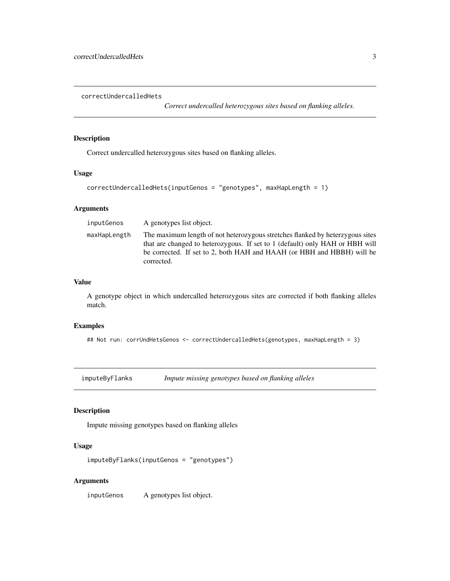<span id="page-2-0"></span>correctUndercalledHets

*Correct undercalled heterozygous sites based on flanking alleles.*

# Description

Correct undercalled heterozygous sites based on flanking alleles.

### Usage

```
correctUndercalledHets(inputGenos = "genotypes", maxHapLength = 1)
```
# Arguments

| inputGenos   | A genotypes list object.                                                                                                                                                                                                                              |
|--------------|-------------------------------------------------------------------------------------------------------------------------------------------------------------------------------------------------------------------------------------------------------|
| maxHapLength | The maximum length of not heterozygous stretches flanked by heterzygous sites<br>that are changed to heterozygous. If set to 1 (default) only HAH or HBH will<br>be corrected. If set to 2, both HAH and HAAH (or HBH and HBBH) will be<br>corrected. |

### Value

A genotype object in which undercalled heterozygous sites are corrected if both flanking alleles match.

# Examples

## Not run: corrUndHetsGenos <- correctUndercalledHets(genotypes, maxHapLength = 3)

imputeByFlanks *Impute missing genotypes based on flanking alleles*

# Description

Impute missing genotypes based on flanking alleles

#### Usage

```
imputeByFlanks(inputGenos = "genotypes")
```
# Arguments

inputGenos A genotypes list object.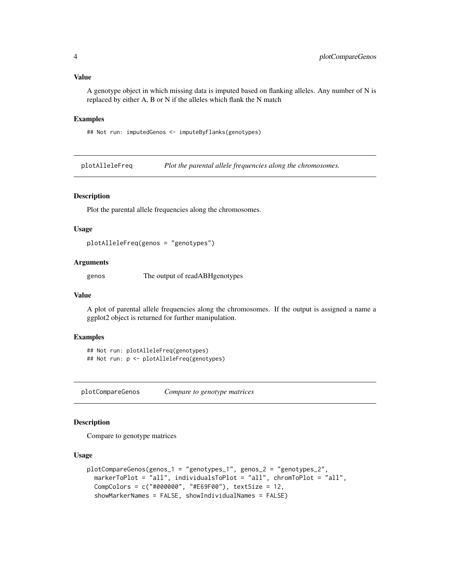<span id="page-3-0"></span>A genotype object in which missing data is imputed based on flanking alleles. Any number of N is replaced by either A, B or N if the alleles which flank the N match

#### Examples

## Not run: imputedGenos <- imputeByFlanks(genotypes)

plotAlleleFreq *Plot the parental allele frequencies along the chromosomes.*

#### Description

Plot the parental allele frequencies along the chromosomes.

#### Usage

plotAlleleFreq(genos = "genotypes")

# Arguments

genos The output of readABHgenotypes

#### Value

A plot of parental allele frequencies along the chromosomes. If the output is assigned a name a ggplot2 object is returned for further manipulation.

#### Examples

```
## Not run: plotAlleleFreq(genotypes)
## Not run: p <- plotAlleleFreq(genotypes)
```
plotCompareGenos *Compare to genotype matrices*

#### Description

Compare to genotype matrices

# Usage

```
plotCompareGenos(genos_1 = "genotypes_1", genos_2 = "genotypes_2",
 markerToPlot = "all", individualsToPlot = "all", chromToPlot = "all",
  CompColors = c("#000000", "#E69F00"), textSize = 12,
  showMarkerNames = FALSE, showIndividualNames = FALSE)
```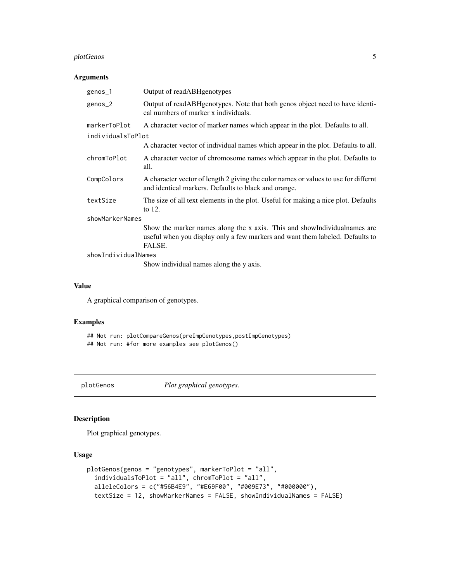# <span id="page-4-0"></span>plotGenos 5

#### Arguments

| genos_1             | Output of readABHgenotypes                                                                                                                                            |  |
|---------------------|-----------------------------------------------------------------------------------------------------------------------------------------------------------------------|--|
| genos_2             | Output of readABHgenotypes. Note that both genos object need to have identi-<br>cal numbers of marker x individuals.                                                  |  |
| markerToPlot        | A character vector of marker names which appear in the plot. Defaults to all.                                                                                         |  |
| individualsToPlot   |                                                                                                                                                                       |  |
|                     | A character vector of individual names which appear in the plot. Defaults to all.                                                                                     |  |
| chromToPlot         | A character vector of chromosome names which appear in the plot. Defaults to<br>all.                                                                                  |  |
| CompColors          | A character vector of length 2 giving the color names or values to use for differnt<br>and identical markers. Defaults to black and orange.                           |  |
| textSize            | The size of all text elements in the plot. Useful for making a nice plot. Defaults<br>to $12$ .                                                                       |  |
| showMarkerNames     |                                                                                                                                                                       |  |
|                     | Show the marker names along the x axis. This and show Individual names are<br>useful when you display only a few markers and want them labeled. Defaults to<br>FALSE. |  |
| showIndividualNames |                                                                                                                                                                       |  |
|                     | Show individual names along the y axis.                                                                                                                               |  |

#### Value

A graphical comparison of genotypes.

# Examples

## Not run: plotCompareGenos(preImpGenotypes,postImpGenotypes) ## Not run: #for more examples see plotGenos()

plotGenos *Plot graphical genotypes.*

# Description

Plot graphical genotypes.

#### Usage

```
plotGenos(genos = "genotypes", markerToPlot = "all",
  individualsToPlot = "all", chromToPlot = "all",
  alleleColors = c("#56B4E9", "#E69F00", "#009E73", "#000000"),
 textSize = 12, showMarkerNames = FALSE, showIndividualNames = FALSE)
```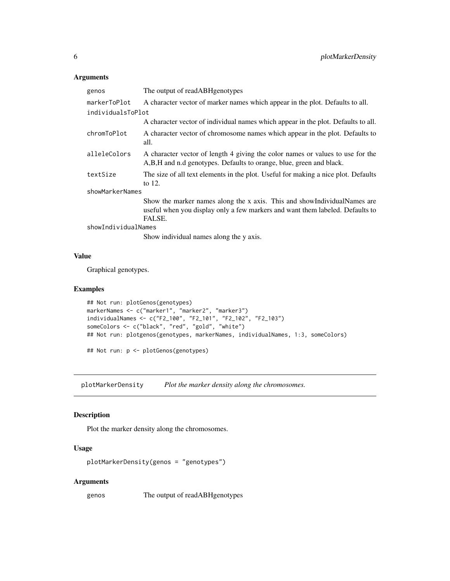# <span id="page-5-0"></span>Arguments

| genos               | The output of read ABH genotypes                                                                                                                                      |  |
|---------------------|-----------------------------------------------------------------------------------------------------------------------------------------------------------------------|--|
| markerToPlot        | A character vector of marker names which appear in the plot. Defaults to all.                                                                                         |  |
| individualsToPlot   |                                                                                                                                                                       |  |
|                     | A character vector of individual names which appear in the plot. Defaults to all.                                                                                     |  |
| chromToPlot         | A character vector of chromosome names which appear in the plot. Defaults to<br>all.                                                                                  |  |
| alleleColors        | A character vector of length 4 giving the color names or values to use for the<br>A,B,H and n.d genotypes. Defaults to orange, blue, green and black.                 |  |
| textSize            | The size of all text elements in the plot. Useful for making a nice plot. Defaults<br>to $12$ .                                                                       |  |
| showMarkerNames     |                                                                                                                                                                       |  |
|                     | Show the marker names along the x axis. This and show Individual Names are<br>useful when you display only a few markers and want them labeled. Defaults to<br>FALSE. |  |
| showIndividualNames |                                                                                                                                                                       |  |
|                     | Show individual names along the y axis.                                                                                                                               |  |

#### Value

Graphical genotypes.

#### Examples

```
## Not run: plotGenos(genotypes)
markerNames <- c("marker1", "marker2", "marker3")
individualNames <- c("F2_100", "F2_101", "F2_102", "F2_103")
someColors <- c("black", "red", "gold", "white")
## Not run: plotgenos(genotypes, markerNames, individualNames, 1:3, someColors)
## Not run: p <- plotGenos(genotypes)
```
plotMarkerDensity *Plot the marker density along the chromosomes.*

# Description

Plot the marker density along the chromosomes.

# Usage

```
plotMarkerDensity(genos = "genotypes")
```
# Arguments

genos The output of readABHgenotypes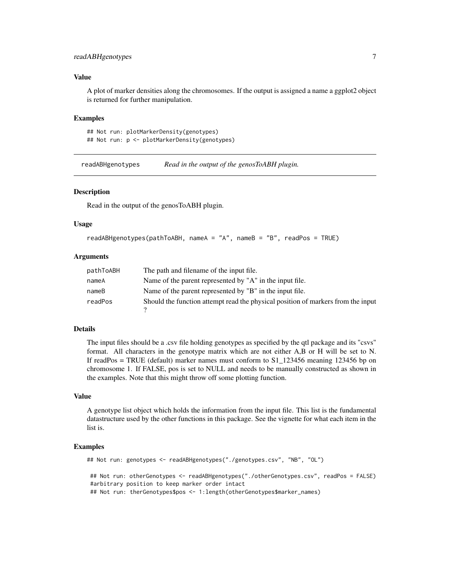# <span id="page-6-0"></span>readABHgenotypes 7

#### Value

A plot of marker densities along the chromosomes. If the output is assigned a name a ggplot2 object is returned for further manipulation.

#### Examples

```
## Not run: plotMarkerDensity(genotypes)
## Not run: p <- plotMarkerDensity(genotypes)
```
readABHgenotypes *Read in the output of the genosToABH plugin.*

#### Description

Read in the output of the genosToABH plugin.

#### Usage

```
readABHgenotypes(pathToABH, nameA = "A", nameB = "B", readPos = TRUE)
```
#### Arguments

| pathToABH | The path and filename of the input file.                                         |
|-----------|----------------------------------------------------------------------------------|
| nameA     | Name of the parent represented by "A" in the input file.                         |
| nameB     | Name of the parent represented by "B" in the input file.                         |
| readPos   | Should the function attempt read the physical position of markers from the input |

#### Details

The input files should be a .csv file holding genotypes as specified by the qtl package and its "csvs" format. All characters in the genotype matrix which are not either A,B or H will be set to N. If readPos = TRUE (default) marker names must conform to S1\_123456 meaning 123456 bp on chromosome 1. If FALSE, pos is set to NULL and needs to be manually constructed as shown in the examples. Note that this might throw off some plotting function.

#### Value

A genotype list object which holds the information from the input file. This list is the fundamental datastructure used by the other functions in this package. See the vignette for what each item in the list is.

#### Examples

```
## Not run: genotypes <- readABHgenotypes("./genotypes.csv", "NB", "OL")
## Not run: otherGenotypes <- readABHgenotypes("./otherGenotypes.csv", readPos = FALSE)
#arbitrary position to keep marker order intact
## Not run: therGenotypes$pos <- 1:length(otherGenotypes$marker_names)
```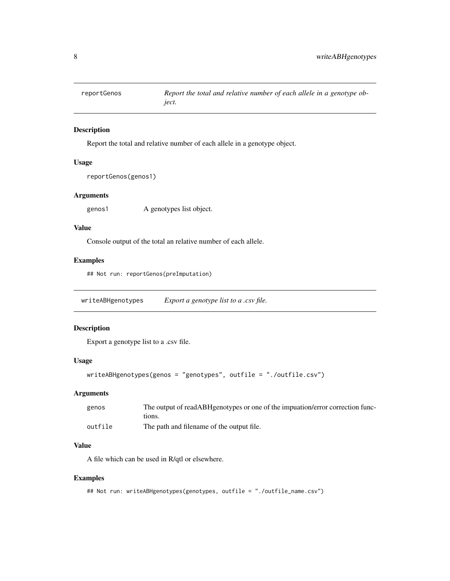<span id="page-7-0"></span>

# Description

Report the total and relative number of each allele in a genotype object.

# Usage

```
reportGenos(genos1)
```
# Arguments

genos1 A genotypes list object.

### Value

Console output of the total an relative number of each allele.

#### Examples

## Not run: reportGenos(preImputation)

writeABHgenotypes *Export a genotype list to a .csv file.*

#### Description

Export a genotype list to a .csv file.

# Usage

```
writeABHgenotypes(genos = "genotypes", outfile = "./outfile.csv")
```
# Arguments

| genos   | The output of readABHgenotypes or one of the imputaion/error correction func-<br>tions. |
|---------|-----------------------------------------------------------------------------------------|
| outfile | The path and filename of the output file.                                               |

#### Value

A file which can be used in R/qtl or elsewhere.

#### Examples

```
## Not run: writeABHgenotypes(genotypes, outfile = "./outfile_name.csv")
```